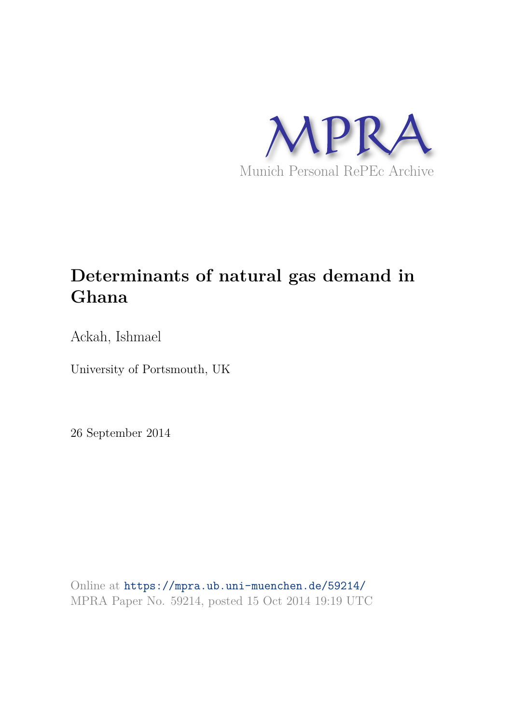

# **Determinants of natural gas demand in Ghana**

Ackah, Ishmael

University of Portsmouth, UK

26 September 2014

Online at https://mpra.ub.uni-muenchen.de/59214/ MPRA Paper No. 59214, posted 15 Oct 2014 19:19 UTC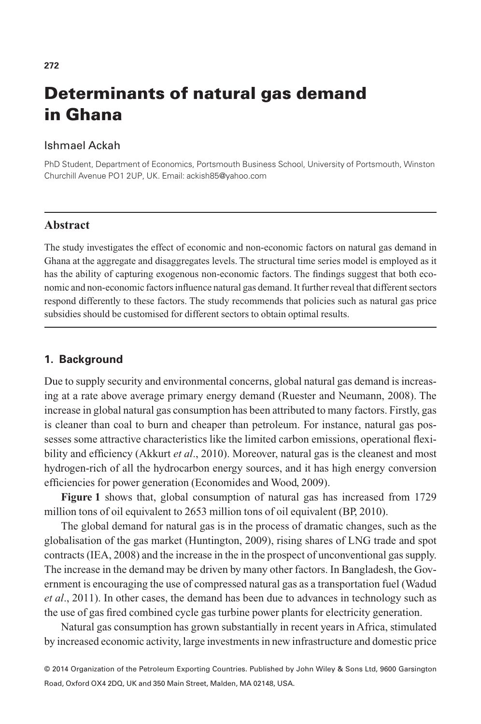# Determinants of natural gas demand in Ghana

# Ishmael Ackah

PhD Student, Department of Economics, Portsmouth Business School, University of Portsmouth, Winston Churchill Avenue PO1 2UP, UK. Email: ackish85@yahoo.com

# **Abstract**

The study investigates the effect of economic and non-economic factors on natural gas demand in Ghana at the aggregate and disaggregates levels. The structural time series model is employed as it has the ability of capturing exogenous non-economic factors. The findings suggest that both economic and non-economic factors influence natural gas demand. It further reveal that different sectors respond differently to these factors. The study recommends that policies such as natural gas price subsidies should be customised for different sectors to obtain optimal results.

# **1. Background**

Due to supply security and environmental concerns, global natural gas demand is increasing at a rate above average primary energy demand (Ruester and Neumann, 2008). The increase in global natural gas consumption has been attributed to many factors. Firstly, gas is cleaner than coal to burn and cheaper than petroleum. For instance, natural gas possesses some attractive characteristics like the limited carbon emissions, operational flexibility and efficiency (Akkurt *et al*., 2010). Moreover, natural gas is the cleanest and most hydrogen-rich of all the hydrocarbon energy sources, and it has high energy conversion efficiencies for power generation (Economides and Wood, 2009).

**Figure 1** shows that, global consumption of natural gas has increased from 1729 million tons of oil equivalent to 2653 million tons of oil equivalent (BP, 2010).

The global demand for natural gas is in the process of dramatic changes, such as the globalisation of the gas market (Huntington, 2009), rising shares of LNG trade and spot contracts (IEA, 2008) and the increase in the in the prospect of unconventional gas supply. The increase in the demand may be driven by many other factors. In Bangladesh, the Government is encouraging the use of compressed natural gas as a transportation fuel (Wadud *et al*., 2011). In other cases, the demand has been due to advances in technology such as the use of gas fired combined cycle gas turbine power plants for electricity generation.

Natural gas consumption has grown substantially in recent years in Africa, stimulated by increased economic activity, large investments in new infrastructure and domestic price

<sup>© 2014</sup> Organization of the Petroleum Exporting Countries. Published by John Wiley & Sons Ltd, 9600 Garsington Road, Oxford OX4 2DQ, UK and 350 Main Street, Malden, MA 02148, USA.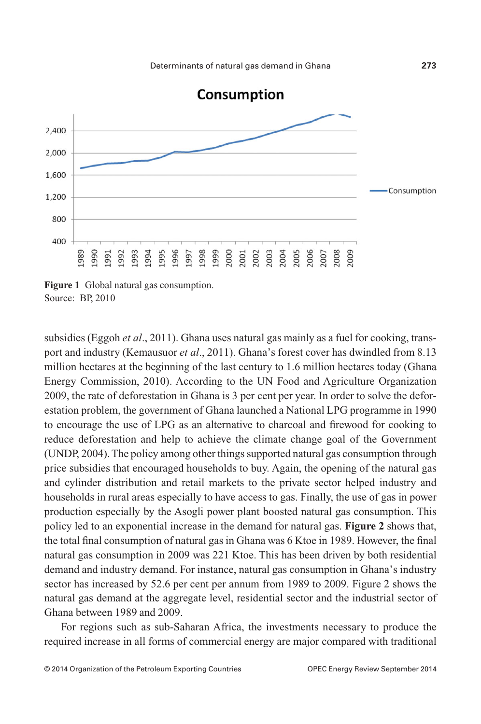

**Figure 1** Global natural gas consumption. Source: BP, 2010

subsidies (Eggoh *et al*., 2011). Ghana uses natural gas mainly as a fuel for cooking, transport and industry (Kemausuor *et al*., 2011). Ghana's forest cover has dwindled from 8.13 million hectares at the beginning of the last century to 1.6 million hectares today (Ghana Energy Commission, 2010). According to the UN Food and Agriculture Organization 2009, the rate of deforestation in Ghana is 3 per cent per year. In order to solve the deforestation problem, the government of Ghana launched a National LPG programme in 1990 to encourage the use of LPG as an alternative to charcoal and firewood for cooking to reduce deforestation and help to achieve the climate change goal of the Government (UNDP, 2004). The policy among other things supported natural gas consumption through price subsidies that encouraged households to buy. Again, the opening of the natural gas and cylinder distribution and retail markets to the private sector helped industry and households in rural areas especially to have access to gas. Finally, the use of gas in power production especially by the Asogli power plant boosted natural gas consumption. This policy led to an exponential increase in the demand for natural gas. **Figure 2** shows that, the total final consumption of natural gas in Ghana was 6 Ktoe in 1989. However, the final natural gas consumption in 2009 was 221 Ktoe. This has been driven by both residential demand and industry demand. For instance, natural gas consumption in Ghana's industry sector has increased by 52.6 per cent per annum from 1989 to 2009. Figure 2 shows the natural gas demand at the aggregate level, residential sector and the industrial sector of Ghana between 1989 and 2009.

For regions such as sub-Saharan Africa, the investments necessary to produce the required increase in all forms of commercial energy are major compared with traditional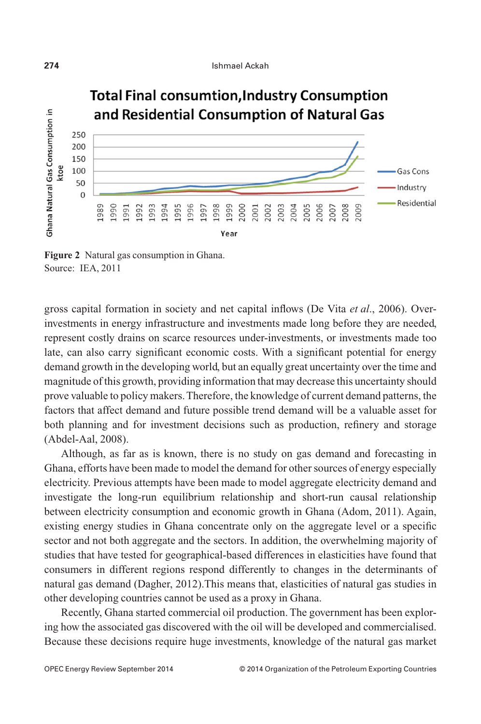

**Figure 2** Natural gas consumption in Ghana. Source: IEA, 2011

gross capital formation in society and net capital inflows (De Vita *et al*., 2006). Overinvestments in energy infrastructure and investments made long before they are needed, represent costly drains on scarce resources under-investments, or investments made too late, can also carry significant economic costs. With a significant potential for energy demand growth in the developing world, but an equally great uncertainty over the time and magnitude of this growth, providing information that may decrease this uncertainty should prove valuable to policy makers.Therefore, the knowledge of current demand patterns, the factors that affect demand and future possible trend demand will be a valuable asset for both planning and for investment decisions such as production, refinery and storage (Abdel-Aal, 2008).

Although, as far as is known, there is no study on gas demand and forecasting in Ghana, efforts have been made to model the demand for other sources of energy especially electricity. Previous attempts have been made to model aggregate electricity demand and investigate the long-run equilibrium relationship and short-run causal relationship between electricity consumption and economic growth in Ghana (Adom, 2011). Again, existing energy studies in Ghana concentrate only on the aggregate level or a specific sector and not both aggregate and the sectors. In addition, the overwhelming majority of studies that have tested for geographical-based differences in elasticities have found that consumers in different regions respond differently to changes in the determinants of natural gas demand (Dagher, 2012).This means that, elasticities of natural gas studies in other developing countries cannot be used as a proxy in Ghana.

Recently, Ghana started commercial oil production. The government has been exploring how the associated gas discovered with the oil will be developed and commercialised. Because these decisions require huge investments, knowledge of the natural gas market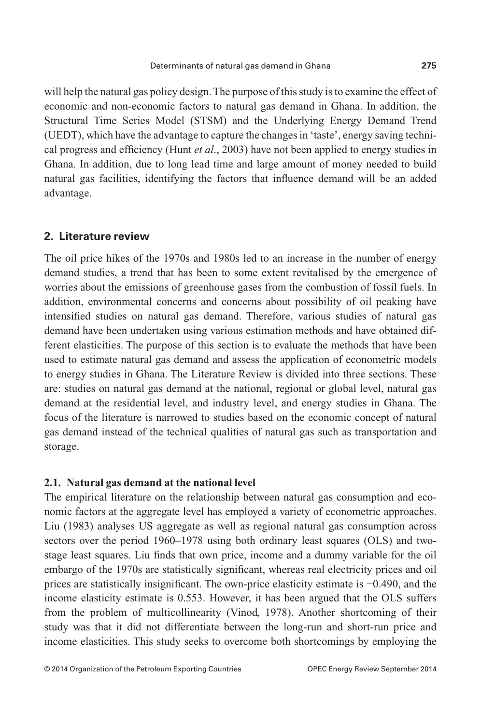will help the natural gas policy design. The purpose of this study is to examine the effect of economic and non-economic factors to natural gas demand in Ghana. In addition, the Structural Time Series Model (STSM) and the Underlying Energy Demand Trend (UEDT), which have the advantage to capture the changes in 'taste', energy saving technical progress and efficiency (Hunt *et al*., 2003) have not been applied to energy studies in Ghana. In addition, due to long lead time and large amount of money needed to build natural gas facilities, identifying the factors that influence demand will be an added advantage.

# **2. Literature review**

The oil price hikes of the 1970s and 1980s led to an increase in the number of energy demand studies, a trend that has been to some extent revitalised by the emergence of worries about the emissions of greenhouse gases from the combustion of fossil fuels. In addition, environmental concerns and concerns about possibility of oil peaking have intensified studies on natural gas demand. Therefore, various studies of natural gas demand have been undertaken using various estimation methods and have obtained different elasticities. The purpose of this section is to evaluate the methods that have been used to estimate natural gas demand and assess the application of econometric models to energy studies in Ghana. The Literature Review is divided into three sections. These are: studies on natural gas demand at the national, regional or global level, natural gas demand at the residential level, and industry level, and energy studies in Ghana. The focus of the literature is narrowed to studies based on the economic concept of natural gas demand instead of the technical qualities of natural gas such as transportation and storage.

## **2.1. Natural gas demand at the national level**

The empirical literature on the relationship between natural gas consumption and economic factors at the aggregate level has employed a variety of econometric approaches. Liu (1983) analyses US aggregate as well as regional natural gas consumption across sectors over the period 1960–1978 using both ordinary least squares (OLS) and twostage least squares. Liu finds that own price, income and a dummy variable for the oil embargo of the 1970s are statistically significant, whereas real electricity prices and oil prices are statistically insignificant. The own-price elasticity estimate is −0.490, and the income elasticity estimate is 0.553. However, it has been argued that the OLS suffers from the problem of multicollinearity (Vinod, 1978). Another shortcoming of their study was that it did not differentiate between the long-run and short-run price and income elasticities. This study seeks to overcome both shortcomings by employing the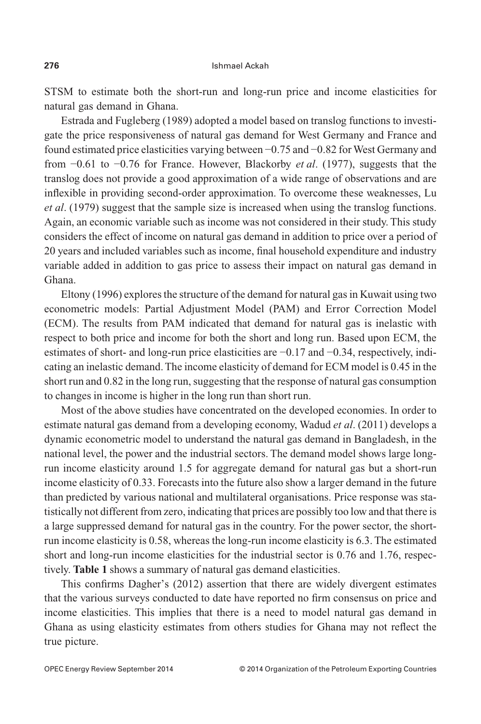STSM to estimate both the short-run and long-run price and income elasticities for natural gas demand in Ghana.

Estrada and Fugleberg (1989) adopted a model based on translog functions to investigate the price responsiveness of natural gas demand for West Germany and France and found estimated price elasticities varying between −0.75 and −0.82 for West Germany and from −0.61 to −0.76 for France. However, Blackorby *et al*. (1977), suggests that the translog does not provide a good approximation of a wide range of observations and are inflexible in providing second-order approximation. To overcome these weaknesses, Lu *et al*. (1979) suggest that the sample size is increased when using the translog functions. Again, an economic variable such as income was not considered in their study. This study considers the effect of income on natural gas demand in addition to price over a period of 20 years and included variables such as income, final household expenditure and industry variable added in addition to gas price to assess their impact on natural gas demand in Ghana.

Eltony (1996) explores the structure of the demand for natural gas in Kuwait using two econometric models: Partial Adjustment Model (PAM) and Error Correction Model (ECM). The results from PAM indicated that demand for natural gas is inelastic with respect to both price and income for both the short and long run. Based upon ECM, the estimates of short- and long-run price elasticities are −0.17 and −0.34, respectively, indicating an inelastic demand. The income elasticity of demand for ECM model is 0.45 in the short run and 0.82 in the long run, suggesting that the response of natural gas consumption to changes in income is higher in the long run than short run.

Most of the above studies have concentrated on the developed economies. In order to estimate natural gas demand from a developing economy, Wadud *et al*. (2011) develops a dynamic econometric model to understand the natural gas demand in Bangladesh, in the national level, the power and the industrial sectors. The demand model shows large longrun income elasticity around 1.5 for aggregate demand for natural gas but a short-run income elasticity of 0.33. Forecasts into the future also show a larger demand in the future than predicted by various national and multilateral organisations. Price response was statistically not different from zero, indicating that prices are possibly too low and that there is a large suppressed demand for natural gas in the country. For the power sector, the shortrun income elasticity is 0.58, whereas the long-run income elasticity is 6.3. The estimated short and long-run income elasticities for the industrial sector is 0.76 and 1.76, respectively. **Table 1** shows a summary of natural gas demand elasticities.

This confirms Dagher's (2012) assertion that there are widely divergent estimates that the various surveys conducted to date have reported no firm consensus on price and income elasticities. This implies that there is a need to model natural gas demand in Ghana as using elasticity estimates from others studies for Ghana may not reflect the true picture.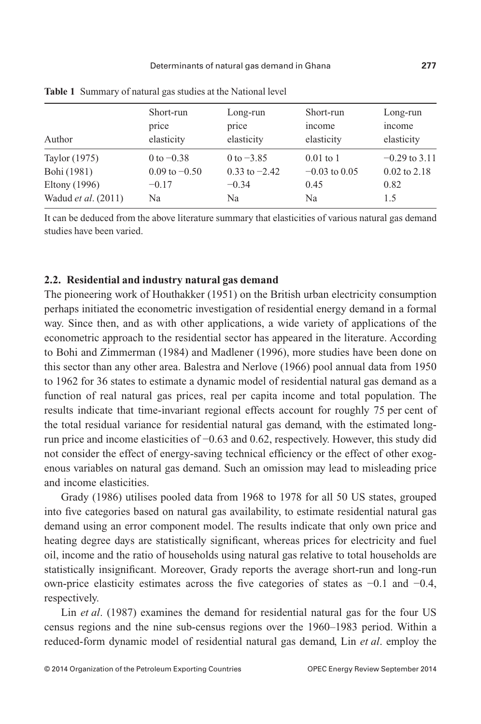| Author                     | Short-run<br>price<br>elasticity | Long-run<br>price<br>elasticity | Short-run<br>income<br>elasticity | Long-run<br>income<br>elasticity |
|----------------------------|----------------------------------|---------------------------------|-----------------------------------|----------------------------------|
| Taylor (1975)              | 0 to $-0.38$                     | 0 to $-3.85$                    | $0.01$ to 1                       | $-0.29$ to 3.11                  |
| Bohi (1981)                | $0.09$ to $-0.50$                | $0.33$ to $-2.42$               | $-0.03$ to 0.05                   | $0.02$ to $2.18$                 |
| Eltony (1996)              | $-0.17$                          | $-0.34$                         | 0.45                              | 0.82                             |
| Wadud <i>et al.</i> (2011) | Na                               | Na                              | Na                                | 1.5                              |

**Table 1** Summary of natural gas studies at the National level

It can be deduced from the above literature summary that elasticities of various natural gas demand studies have been varied.

# **2.2. Residential and industry natural gas demand**

The pioneering work of Houthakker (1951) on the British urban electricity consumption perhaps initiated the econometric investigation of residential energy demand in a formal way. Since then, and as with other applications, a wide variety of applications of the econometric approach to the residential sector has appeared in the literature. According to Bohi and Zimmerman (1984) and Madlener (1996), more studies have been done on this sector than any other area. Balestra and Nerlove (1966) pool annual data from 1950 to 1962 for 36 states to estimate a dynamic model of residential natural gas demand as a function of real natural gas prices, real per capita income and total population. The results indicate that time-invariant regional effects account for roughly 75 per cent of the total residual variance for residential natural gas demand, with the estimated longrun price and income elasticities of −0.63 and 0.62, respectively. However, this study did not consider the effect of energy-saving technical efficiency or the effect of other exogenous variables on natural gas demand. Such an omission may lead to misleading price and income elasticities.

Grady (1986) utilises pooled data from 1968 to 1978 for all 50 US states, grouped into five categories based on natural gas availability, to estimate residential natural gas demand using an error component model. The results indicate that only own price and heating degree days are statistically significant, whereas prices for electricity and fuel oil, income and the ratio of households using natural gas relative to total households are statistically insignificant. Moreover, Grady reports the average short-run and long-run own-price elasticity estimates across the five categories of states as −0.1 and −0.4, respectively.

Lin *et al*. (1987) examines the demand for residential natural gas for the four US census regions and the nine sub-census regions over the 1960–1983 period. Within a reduced-form dynamic model of residential natural gas demand, Lin *et al*. employ the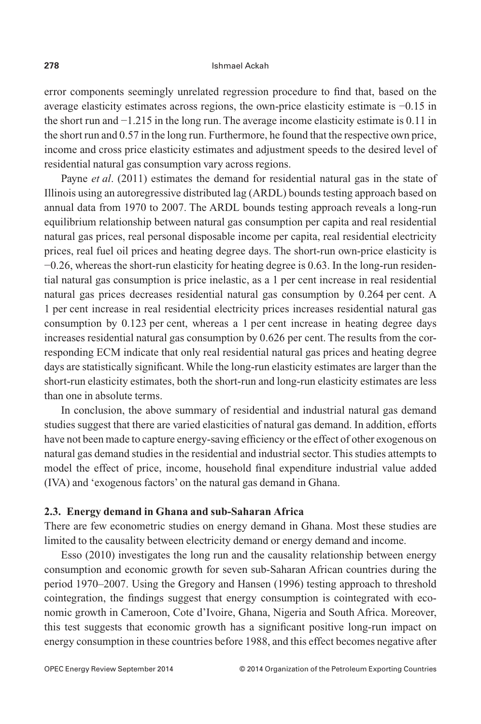error components seemingly unrelated regression procedure to find that, based on the average elasticity estimates across regions, the own-price elasticity estimate is −0.15 in the short run and −1.215 in the long run. The average income elasticity estimate is 0.11 in the short run and 0.57 in the long run. Furthermore, he found that the respective own price, income and cross price elasticity estimates and adjustment speeds to the desired level of residential natural gas consumption vary across regions.

Payne *et al*. (2011) estimates the demand for residential natural gas in the state of Illinois using an autoregressive distributed lag (ARDL) bounds testing approach based on annual data from 1970 to 2007. The ARDL bounds testing approach reveals a long-run equilibrium relationship between natural gas consumption per capita and real residential natural gas prices, real personal disposable income per capita, real residential electricity prices, real fuel oil prices and heating degree days. The short-run own-price elasticity is −0.26, whereas the short-run elasticity for heating degree is 0.63. In the long-run residential natural gas consumption is price inelastic, as a 1 per cent increase in real residential natural gas prices decreases residential natural gas consumption by 0.264 per cent. A 1 per cent increase in real residential electricity prices increases residential natural gas consumption by 0.123 per cent, whereas a 1 per cent increase in heating degree days increases residential natural gas consumption by 0.626 per cent. The results from the corresponding ECM indicate that only real residential natural gas prices and heating degree days are statistically significant. While the long-run elasticity estimates are larger than the short-run elasticity estimates, both the short-run and long-run elasticity estimates are less than one in absolute terms.

In conclusion, the above summary of residential and industrial natural gas demand studies suggest that there are varied elasticities of natural gas demand. In addition, efforts have not been made to capture energy-saving efficiency or the effect of other exogenous on natural gas demand studies in the residential and industrial sector. This studies attempts to model the effect of price, income, household final expenditure industrial value added (IVA) and 'exogenous factors' on the natural gas demand in Ghana.

# **2.3. Energy demand in Ghana and sub-Saharan Africa**

There are few econometric studies on energy demand in Ghana. Most these studies are limited to the causality between electricity demand or energy demand and income.

Esso (2010) investigates the long run and the causality relationship between energy consumption and economic growth for seven sub-Saharan African countries during the period 1970–2007. Using the Gregory and Hansen (1996) testing approach to threshold cointegration, the findings suggest that energy consumption is cointegrated with economic growth in Cameroon, Cote d'Ivoire, Ghana, Nigeria and South Africa. Moreover, this test suggests that economic growth has a significant positive long-run impact on energy consumption in these countries before 1988, and this effect becomes negative after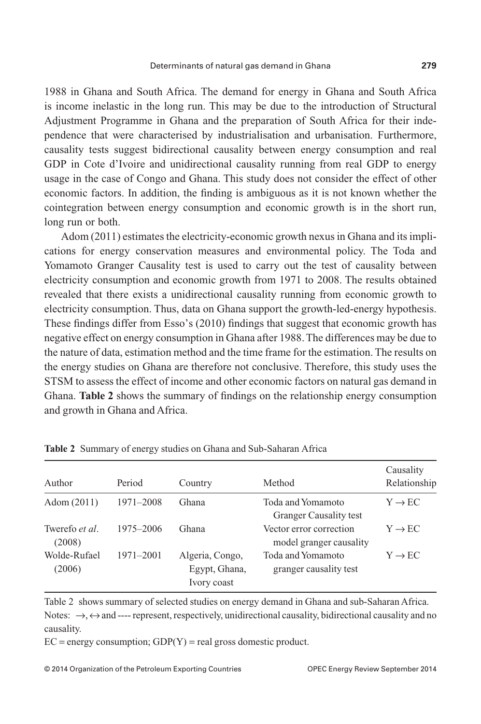1988 in Ghana and South Africa. The demand for energy in Ghana and South Africa is income inelastic in the long run. This may be due to the introduction of Structural Adjustment Programme in Ghana and the preparation of South Africa for their independence that were characterised by industrialisation and urbanisation. Furthermore, causality tests suggest bidirectional causality between energy consumption and real GDP in Cote d'Ivoire and unidirectional causality running from real GDP to energy usage in the case of Congo and Ghana. This study does not consider the effect of other economic factors. In addition, the finding is ambiguous as it is not known whether the cointegration between energy consumption and economic growth is in the short run, long run or both.

Adom (2011) estimates the electricity-economic growth nexus in Ghana and its implications for energy conservation measures and environmental policy. The Toda and Yomamoto Granger Causality test is used to carry out the test of causality between electricity consumption and economic growth from 1971 to 2008. The results obtained revealed that there exists a unidirectional causality running from economic growth to electricity consumption. Thus, data on Ghana support the growth-led-energy hypothesis. These findings differ from Esso's (2010) findings that suggest that economic growth has negative effect on energy consumption in Ghana after 1988. The differences may be due to the nature of data, estimation method and the time frame for the estimation. The results on the energy studies on Ghana are therefore not conclusive. Therefore, this study uses the STSM to assess the effect of income and other economic factors on natural gas demand in Ghana. **Table 2** shows the summary of findings on the relationship energy consumption and growth in Ghana and Africa.

| Author                         | Period        | Country                                         | Method                                             | Causality<br>Relationship |
|--------------------------------|---------------|-------------------------------------------------|----------------------------------------------------|---------------------------|
| Adom (2011)                    | 1971-2008     | Ghana                                           | Toda and Yomamoto<br><b>Granger Causality test</b> | $Y \rightarrow EC$        |
| Twerefo <i>et al</i><br>(2008) | 1975–2006     | Ghana                                           | Vector error correction<br>model granger causality | $Y \rightarrow EC$        |
| Wolde-Rufael<br>(2006)         | $1971 - 2001$ | Algeria, Congo,<br>Egypt, Ghana,<br>Ivory coast | Toda and Yomamoto<br>granger causality test        | $Y \rightarrow EC$        |

**Table 2** Summary of energy studies on Ghana and Sub-Saharan Africa

Table 2 shows summary of selected studies on energy demand in Ghana and sub-Saharan Africa. Notes:  $\rightarrow$ ,  $\leftrightarrow$  and ---- represent, respectively, unidirectional causality, bidirectional causality and no causality.

 $EC = energy consumption$ ;  $GDP(Y) = real gross domestic product$ .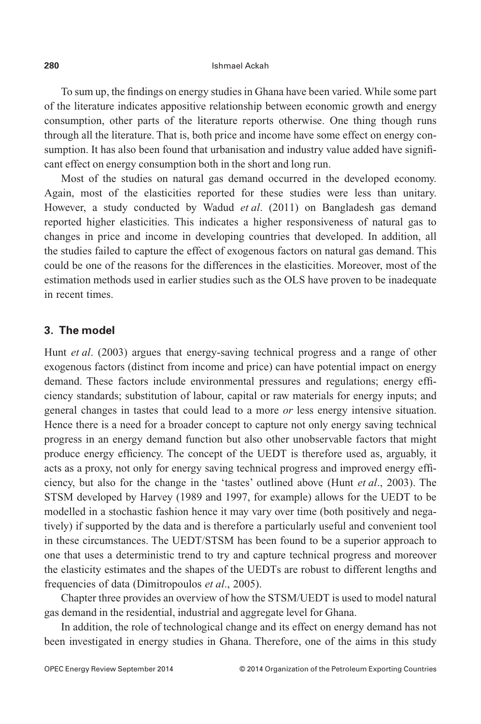To sum up, the findings on energy studies in Ghana have been varied. While some part of the literature indicates appositive relationship between economic growth and energy consumption, other parts of the literature reports otherwise. One thing though runs through all the literature. That is, both price and income have some effect on energy consumption. It has also been found that urbanisation and industry value added have significant effect on energy consumption both in the short and long run.

Most of the studies on natural gas demand occurred in the developed economy. Again, most of the elasticities reported for these studies were less than unitary. However, a study conducted by Wadud *et al*. (2011) on Bangladesh gas demand reported higher elasticities. This indicates a higher responsiveness of natural gas to changes in price and income in developing countries that developed. In addition, all the studies failed to capture the effect of exogenous factors on natural gas demand. This could be one of the reasons for the differences in the elasticities. Moreover, most of the estimation methods used in earlier studies such as the OLS have proven to be inadequate in recent times.

# **3. The model**

Hunt *et al*. (2003) argues that energy-saving technical progress and a range of other exogenous factors (distinct from income and price) can have potential impact on energy demand. These factors include environmental pressures and regulations; energy efficiency standards; substitution of labour, capital or raw materials for energy inputs; and general changes in tastes that could lead to a more *or* less energy intensive situation. Hence there is a need for a broader concept to capture not only energy saving technical progress in an energy demand function but also other unobservable factors that might produce energy efficiency. The concept of the UEDT is therefore used as, arguably, it acts as a proxy, not only for energy saving technical progress and improved energy efficiency, but also for the change in the 'tastes' outlined above (Hunt *et al*., 2003). The STSM developed by Harvey (1989 and 1997, for example) allows for the UEDT to be modelled in a stochastic fashion hence it may vary over time (both positively and negatively) if supported by the data and is therefore a particularly useful and convenient tool in these circumstances. The UEDT/STSM has been found to be a superior approach to one that uses a deterministic trend to try and capture technical progress and moreover the elasticity estimates and the shapes of the UEDTs are robust to different lengths and frequencies of data (Dimitropoulos *et al*., 2005).

Chapter three provides an overview of how the STSM/UEDT is used to model natural gas demand in the residential, industrial and aggregate level for Ghana.

In addition, the role of technological change and its effect on energy demand has not been investigated in energy studies in Ghana. Therefore, one of the aims in this study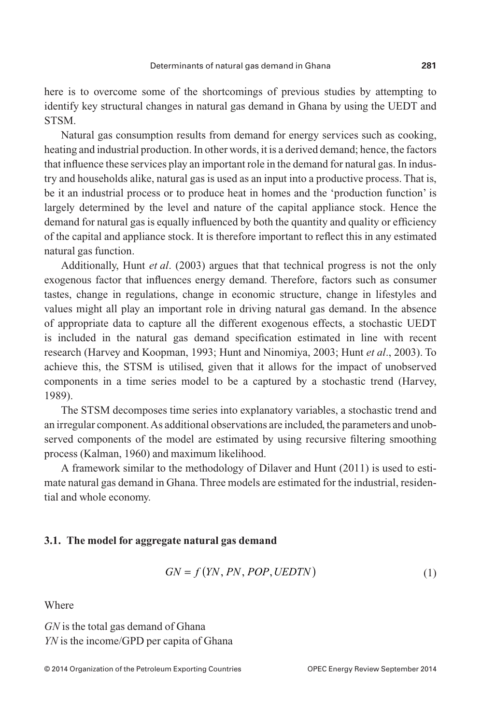here is to overcome some of the shortcomings of previous studies by attempting to identify key structural changes in natural gas demand in Ghana by using the UEDT and STSM.

Natural gas consumption results from demand for energy services such as cooking, heating and industrial production. In other words, it is a derived demand; hence, the factors that influence these services play an important role in the demand for natural gas. In industry and households alike, natural gas is used as an input into a productive process. That is, be it an industrial process or to produce heat in homes and the 'production function' is largely determined by the level and nature of the capital appliance stock. Hence the demand for natural gas is equally influenced by both the quantity and quality or efficiency of the capital and appliance stock. It is therefore important to reflect this in any estimated natural gas function.

Additionally, Hunt *et al*. (2003) argues that that technical progress is not the only exogenous factor that influences energy demand. Therefore, factors such as consumer tastes, change in regulations, change in economic structure, change in lifestyles and values might all play an important role in driving natural gas demand. In the absence of appropriate data to capture all the different exogenous effects, a stochastic UEDT is included in the natural gas demand specification estimated in line with recent research (Harvey and Koopman, 1993; Hunt and Ninomiya, 2003; Hunt *et al*., 2003). To achieve this, the STSM is utilised, given that it allows for the impact of unobserved components in a time series model to be a captured by a stochastic trend (Harvey, 1989).

The STSM decomposes time series into explanatory variables, a stochastic trend and an irregular component.As additional observations are included, the parameters and unobserved components of the model are estimated by using recursive filtering smoothing process (Kalman, 1960) and maximum likelihood.

A framework similar to the methodology of Dilaver and Hunt (2011) is used to estimate natural gas demand in Ghana. Three models are estimated for the industrial, residential and whole economy.

#### **3.1. The model for aggregate natural gas demand**

$$
GN = f(YN, PN, POP, UEDTN)
$$
 (1)

Where

*GN* is the total gas demand of Ghana *YN* is the income/GPD per capita of Ghana

© 2014 Organization of the Petroleum Exporting Countries OPEC Energy Review September 2014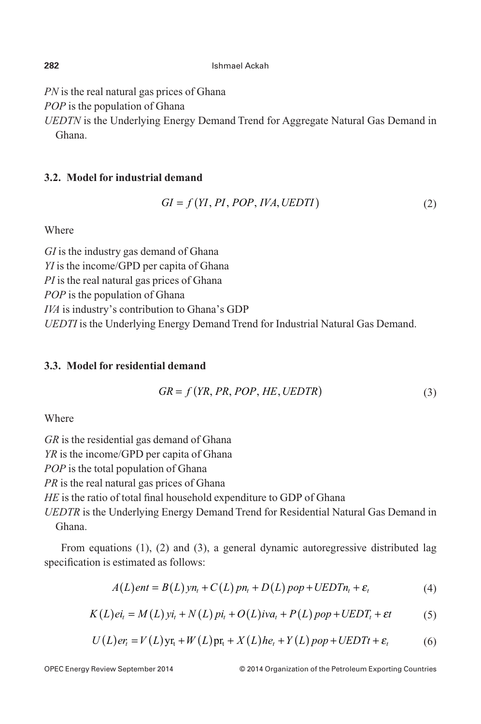*PN* is the real natural gas prices of Ghana

*POP* is the population of Ghana

*UEDTN* is the Underlying Energy Demand Trend for Aggregate Natural Gas Demand in Ghana.

# **3.2. Model for industrial demand**

$$
GI = f(YI, PI, POP, IVA, UEDTI)
$$
 (2)

# Where

*GI* is the industry gas demand of Ghana *YI* is the income/GPD per capita of Ghana *PI* is the real natural gas prices of Ghana *POP* is the population of Ghana *IVA* is industry's contribution to Ghana's GDP *UEDTI* is the Underlying Energy Demand Trend for Industrial Natural Gas Demand.

# **3.3. Model for residential demand**

$$
GR = f(YR, PR, POP, HE, UEDTR)
$$
\n(3)

**Where** 

*GR* is the residential gas demand of Ghana

*YR* is the income/GPD per capita of Ghana

*POP* is the total population of Ghana

*PR* is the real natural gas prices of Ghana

*HE* is the ratio of total final household expenditure to GDP of Ghana

*UEDTR* is the Underlying Energy Demand Trend for Residential Natural Gas Demand in Ghana.

From equations (1), (2) and (3), a general dynamic autoregressive distributed lag specification is estimated as follows:

$$
A(L)ent = B(L)yn_t + C(L)pn_t + D(L)pop + UEDTn_t + \varepsilon_t
$$
\n<sup>(4)</sup>

$$
K(L)ei_t = M(L)yi_t + N(L)pi_t + O(L)iva_t + P(L)pop + UEDT_t + \varepsilon t
$$
\n<sup>(5)</sup>

$$
U(L)er_t = V(L) \text{yr}_t + W(L) \text{pr}_t + X(L)he_t + Y(L) \text{pop} + UEDTt + \varepsilon_t
$$
 (6)

OPEC Energy Review September 2014 © 2014 Organization of the Petroleum Exporting Countries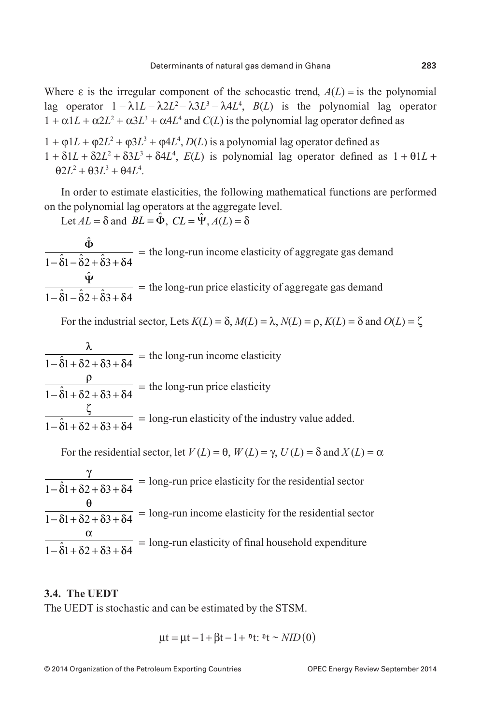Where  $\varepsilon$  is the irregular component of the schocastic trend,  $A(L)$  = is the polynomial lag operator  $1 - \lambda 1L - \lambda 2L^2 - \lambda 3L^3 - \lambda 4L^4$ ,  $B(L)$  is the polynomial lag operator  $1 + \alpha 1L + \alpha 2L^2 + \alpha 3L^3 + \alpha 4L^4$  and *C*(*L*) is the polynomial lag operator defined as

 $1 + φ1L + φ2L<sup>2</sup> + φ3L<sup>3</sup> + φ4L<sup>4</sup>, D(L)$  is a polynomial lag operator defined as  $1 + \delta 1L + \delta 2L^2 + \delta 3L^3 + \delta 4L^4$ ,  $E(L)$  is polynomial lag operator defined as  $1 + \theta 1L +$  $\theta 2L^2 + \theta 3L^3 + \theta 4L^4$ .

In order to estimate elasticities, the following mathematical functions are performed on the polynomial lag operators at the aggregate level.

Let  $AL = \delta$  and  $BL = \hat{\Phi}$ ,  $CL = \hat{\Psi}$ ,  $A(L) = \delta$ 

ˆ  $\hat{\delta}$ 1 –  $\hat{\delta}$ 2 +  $\hat{\delta}$ Φ  $1 - \delta 1 - \delta 2 + \delta 3 + \delta 4$ = the long-run income elasticity of aggregate gas demand ˆ  $\hat{\delta}$ 1 –  $\hat{\delta}$ 2 +  $\hat{\delta}$ Ψ  $1 - \delta1 - \delta2 + \delta3 + \delta4$ = the long-run price elasticity of aggregate gas demand

For the industrial sector, Lets *K*(*L*) = δ, *M*(*L*) = λ, *N*(*L*) = ρ, *K*(*L*) = δ and *O*(*L*) = ζ

$$
\frac{\lambda}{1 - \hat{\delta}1 + \delta2 + \delta3 + \delta4} = \text{the long-run income elasticity}
$$
\n
$$
\frac{\rho}{1 - \hat{\delta}1 + \delta2 + \delta3 + \delta4} = \text{the long-run price elasticity}
$$
\n
$$
\frac{\zeta}{1 - \hat{\delta}1 + \delta2 + \delta3 + \delta4} = \text{long-run elasticity of the industry value added.}
$$

For the residential sector, let  $V(L) = \theta$ ,  $W(L) = \gamma$ ,  $U(L) = \delta$  and  $X(L) = \alpha$ 

γ  $\frac{1-\hat{\delta}1+\hat{\delta}2+\delta3+\delta4}$  = long-run price elasticity for the residential sector θ  $\sqrt{1-\delta 1+\delta 2+\delta 3+\delta 4}$  = long-run income elasticity for the residential sector α  $\sqrt{1-\hat{\delta}1+\delta2+\delta3+\delta4}$  = long-run elasticity of final household expenditure

# **3.4. The UEDT**

The UEDT is stochastic and can be estimated by the STSM.

$$
\mu t = \mu t - 1 + \beta t - 1 + \mathbb{I}t
$$
:  $\mathbb{I}t \sim NID(0)$ 

© 2014 Organization of the Petroleum Exporting Countries OPEC Energy Review September 2014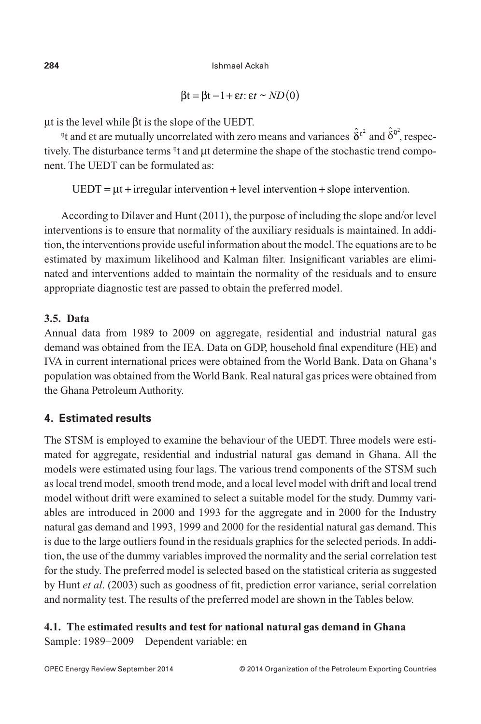$$
\beta t = \beta t - 1 + \varepsilon t : \varepsilon t \sim N D(0)
$$

μt is the level while βt is the slope of the UEDT.

<sup>n</sup>t and  $\epsilon$ t are mutually uncorrelated with zero means and variances  $\hat{\delta}^{\epsilon^2}$  and  $\hat{\delta}^{\eta^2}$ , respectively. The disturbance terms <sup>η</sup>t and μt determine the shape of the stochastic trend component. The UEDT can be formulated as:

 $UEDT = \mu t + irregular intervention + level intervention + slope intervention.$ 

According to Dilaver and Hunt (2011), the purpose of including the slope and/or level interventions is to ensure that normality of the auxiliary residuals is maintained. In addition, the interventions provide useful information about the model. The equations are to be estimated by maximum likelihood and Kalman filter. Insignificant variables are eliminated and interventions added to maintain the normality of the residuals and to ensure appropriate diagnostic test are passed to obtain the preferred model.

# **3.5. Data**

Annual data from 1989 to 2009 on aggregate, residential and industrial natural gas demand was obtained from the IEA. Data on GDP, household final expenditure (HE) and IVA in current international prices were obtained from the World Bank. Data on Ghana's population was obtained from the World Bank. Real natural gas prices were obtained from the Ghana Petroleum Authority.

# **4. Estimated results**

The STSM is employed to examine the behaviour of the UEDT. Three models were estimated for aggregate, residential and industrial natural gas demand in Ghana. All the models were estimated using four lags. The various trend components of the STSM such as local trend model, smooth trend mode, and a local level model with drift and local trend model without drift were examined to select a suitable model for the study. Dummy variables are introduced in 2000 and 1993 for the aggregate and in 2000 for the Industry natural gas demand and 1993, 1999 and 2000 for the residential natural gas demand. This is due to the large outliers found in the residuals graphics for the selected periods. In addition, the use of the dummy variables improved the normality and the serial correlation test for the study. The preferred model is selected based on the statistical criteria as suggested by Hunt *et al*. (2003) such as goodness of fit, prediction error variance, serial correlation and normality test. The results of the preferred model are shown in the Tables below.

# **4.1. The estimated results and test for national natural gas demand in Ghana** Sample: 1989−2009 Dependent variable: en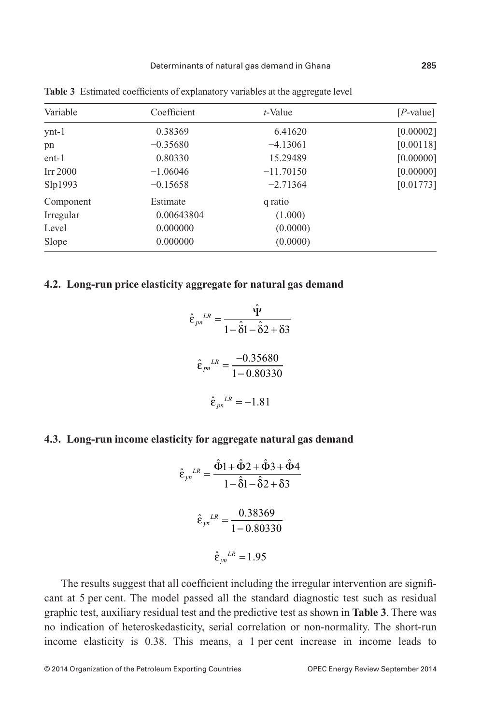Determinants of natural gas demand in Ghana **285**

| Variable  | Coefficient | $t$ -Value  | $[P-value]$ |
|-----------|-------------|-------------|-------------|
| $ynt-1$   | 0.38369     | 6.41620     | [0.00002]   |
| pn        | $-0.35680$  | $-4.13061$  | [0.00118]   |
| ent-1     | 0.80330     | 15.29489    | [0.00000]   |
| Irr 2000  | $-1.06046$  | $-11.70150$ | [0.00000]   |
| Slp1993   | $-0.15658$  | $-2.71364$  | [0.01773]   |
| Component | Estimate    | q ratio     |             |
| Irregular | 0.00643804  | (1.000)     |             |
| Level     | 0.000000    | (0.0000)    |             |
| Slope     | 0.000000    | (0.0000)    |             |

**Table 3** Estimated coefficients of explanatory variables at the aggregate level

## **4.2. Long-run price elasticity aggregate for natural gas demand**

$$
\hat{\varepsilon}_{pn}^{LR} = \frac{\hat{\Psi}}{1 - \hat{\delta}1 - \hat{\delta}2 + \delta3}
$$

$$
\hat{\varepsilon}_{pn}^{LR} = \frac{-0.35680}{1 - 0.80330}
$$

$$
\hat{\varepsilon}_{pn}^{LR} = -1.81
$$

# **4.3. Long-run income elasticity for aggregate natural gas demand**

$$
\hat{\varepsilon}_{yn}{}^{LR} = \frac{\hat{\Phi}1 + \hat{\Phi}2 + \hat{\Phi}3 + \hat{\Phi}4}{1 - \hat{\delta}1 - \hat{\delta}2 + \hat{\delta}3}
$$

$$
\hat{\varepsilon}_{yn}{}^{LR} = \frac{0.38369}{1 - 0.80330}
$$

$$
\hat{\varepsilon}_{yn}{}^{LR} = 1.95
$$

The results suggest that all coefficient including the irregular intervention are significant at 5 per cent. The model passed all the standard diagnostic test such as residual graphic test, auxiliary residual test and the predictive test as shown in **Table 3**. There was no indication of heteroskedasticity, serial correlation or non-normality. The short-run income elasticity is 0.38. This means, a 1 per cent increase in income leads to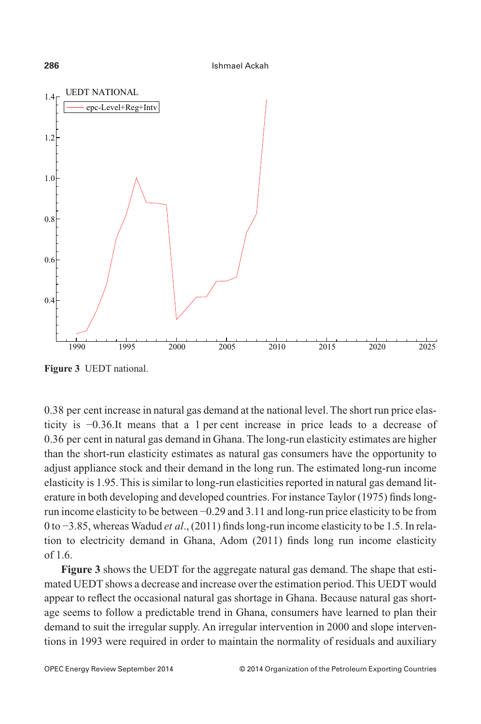

**Figure 3** UEDT national.

0.38 per cent increase in natural gas demand at the national level. The short run price elasticity is −0.36.It means that a 1 per cent increase in price leads to a decrease of 0.36 per cent in natural gas demand in Ghana. The long-run elasticity estimates are higher than the short-run elasticity estimates as natural gas consumers have the opportunity to adjust appliance stock and their demand in the long run. The estimated long-run income elasticity is 1.95. This is similar to long-run elasticities reported in natural gas demand literature in both developing and developed countries. For instance Taylor (1975) finds longrun income elasticity to be between −0.29 and 3.11 and long-run price elasticity to be from 0 to −3.85, whereas Wadud *et al*., (2011) finds long-run income elasticity to be 1.5. In relation to electricity demand in Ghana, Adom (2011) finds long run income elasticity of 1.6.

**Figure 3** shows the UEDT for the aggregate natural gas demand. The shape that estimated UEDT shows a decrease and increase over the estimation period. This UEDT would appear to reflect the occasional natural gas shortage in Ghana. Because natural gas shortage seems to follow a predictable trend in Ghana, consumers have learned to plan their demand to suit the irregular supply. An irregular intervention in 2000 and slope interventions in 1993 were required in order to maintain the normality of residuals and auxiliary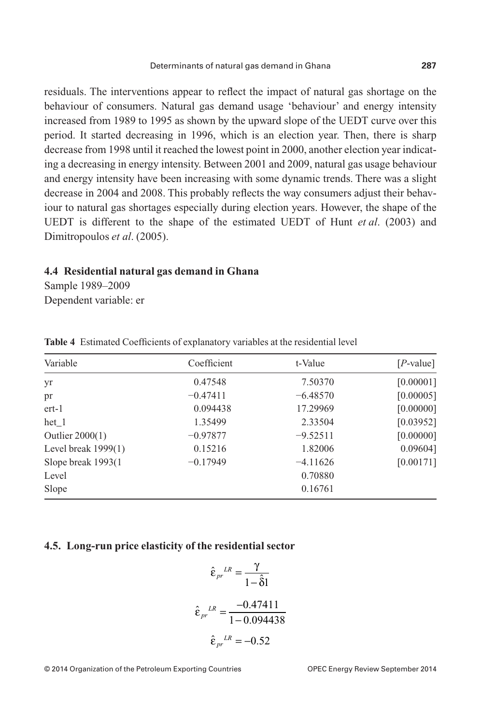residuals. The interventions appear to reflect the impact of natural gas shortage on the behaviour of consumers. Natural gas demand usage 'behaviour' and energy intensity increased from 1989 to 1995 as shown by the upward slope of the UEDT curve over this period. It started decreasing in 1996, which is an election year. Then, there is sharp decrease from 1998 until it reached the lowest point in 2000, another election year indicating a decreasing in energy intensity. Between 2001 and 2009, natural gas usage behaviour and energy intensity have been increasing with some dynamic trends. There was a slight decrease in 2004 and 2008. This probably reflects the way consumers adjust their behaviour to natural gas shortages especially during election years. However, the shape of the UEDT is different to the shape of the estimated UEDT of Hunt *et al*. (2003) and Dimitropoulos *et al*. (2005).

## **4.4 Residential natural gas demand in Ghana**

Sample 1989–2009 Dependent variable: er

| Variable              | Coefficient | t-Value    | $[P-value]$ |
|-----------------------|-------------|------------|-------------|
| yr                    | 0.47548     | 7.50370    | [0.00001]   |
| pr                    | $-0.47411$  | $-6.48570$ | [0.00005]   |
| ert-1                 | 0.094438    | 17.29969   | [0.00000]   |
| het 1                 | 1.35499     | 2.33504    | [0.03952]   |
| Outlier $2000(1)$     | $-0.97877$  | $-9.52511$ | [0.00000]   |
| Level break $1999(1)$ | 0.15216     | 1.82006    | 0.096041    |
| Slope break $1993(1)$ | $-0.17949$  | $-4.11626$ | [0.00171]   |
| Level                 |             | 0.70880    |             |
| Slope                 |             | 0.16761    |             |

**Table 4** Estimated Coefficients of explanatory variables at the residential level

#### **4.5. Long-run price elasticity of the residential sector**

$$
\hat{\varepsilon}_{pr}^{LR} = \frac{\gamma}{1 - \hat{\delta}1}
$$

$$
\hat{\varepsilon}_{pr}^{LR} = \frac{-0.47411}{1 - 0.094438}
$$

$$
\hat{\varepsilon}_{pr}^{LR} = -0.52
$$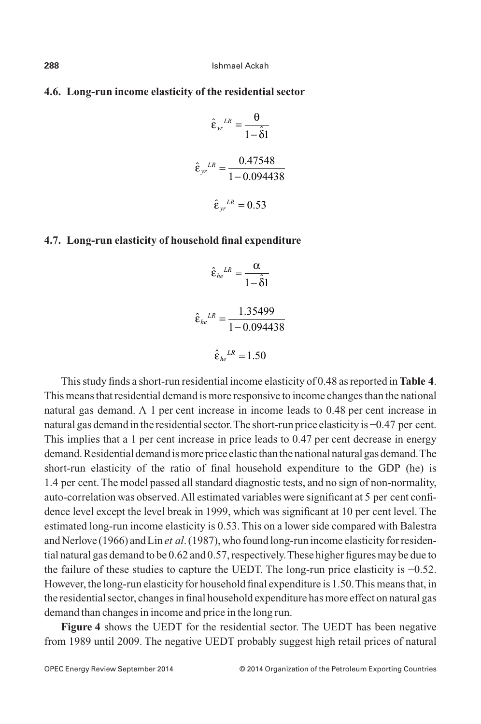#### **4.6. Long-run income elasticity of the residential sector**

$$
\hat{\varepsilon}_{yr}^{LR} = \frac{\theta}{1 - \hat{\delta}1}
$$

$$
\hat{\varepsilon}_{yr}^{LR} = \frac{0.47548}{1 - 0.094438}
$$

$$
\hat{\varepsilon}_{yr}^{LR} = 0.53
$$

# **4.7. Long-run elasticity of household final expenditure**

$$
\hat{\varepsilon}_{he}^{LR} = \frac{\alpha}{1 - \hat{\delta}1}
$$

$$
\hat{\varepsilon}_{he}^{LR} = \frac{1.35499}{1 - 0.094438}
$$

$$
\hat{\varepsilon}_{he}^{LR} = 1.50
$$

This study finds a short-run residential income elasticity of 0.48 as reported in**Table 4**. This means that residential demand is more responsive to income changes than the national natural gas demand. A 1 per cent increase in income leads to 0.48 per cent increase in natural gas demand in the residential sector.The short-run price elasticity is −0.47 per cent. This implies that a 1 per cent increase in price leads to 0.47 per cent decrease in energy demand. Residential demand is more price elastic than the national natural gas demand.The short-run elasticity of the ratio of final household expenditure to the GDP (he) is 1.4 per cent. The model passed all standard diagnostic tests, and no sign of non-normality, auto-correlation was observed.All estimated variables were significant at 5 per cent confidence level except the level break in 1999, which was significant at 10 per cent level. The estimated long-run income elasticity is 0.53. This on a lower side compared with Balestra and Nerlove (1966) and Lin *et al*. (1987), who found long-run income elasticity for residential natural gas demand to be 0.62 and 0.57, respectively.These higher figures may be due to the failure of these studies to capture the UEDT. The long-run price elasticity is −0.52. However, the long-run elasticity for household final expenditure is 1.50.This means that, in the residential sector, changes in final household expenditure has more effect on natural gas demand than changes in income and price in the long run.

**Figure 4** shows the UEDT for the residential sector. The UEDT has been negative from 1989 until 2009. The negative UEDT probably suggest high retail prices of natural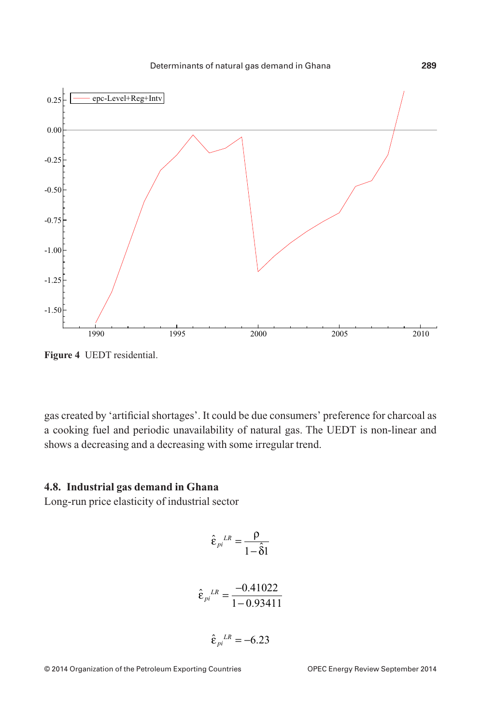

**Figure 4** UEDT residential.

gas created by 'artificial shortages'. It could be due consumers' preference for charcoal as a cooking fuel and periodic unavailability of natural gas. The UEDT is non-linear and shows a decreasing and a decreasing with some irregular trend.

# **4.8. Industrial gas demand in Ghana**

Long-run price elasticity of industrial sector

$$
\hat{\varepsilon}_{pi}^{LR} = \frac{\rho}{1 - \hat{\delta}1}
$$

$$
\hat{\varepsilon}_{pi}^{LR} = \frac{-0.41022}{1 - 0.93411}
$$

$$
\hat{\varepsilon}_{pi}^{LR} = -6.23
$$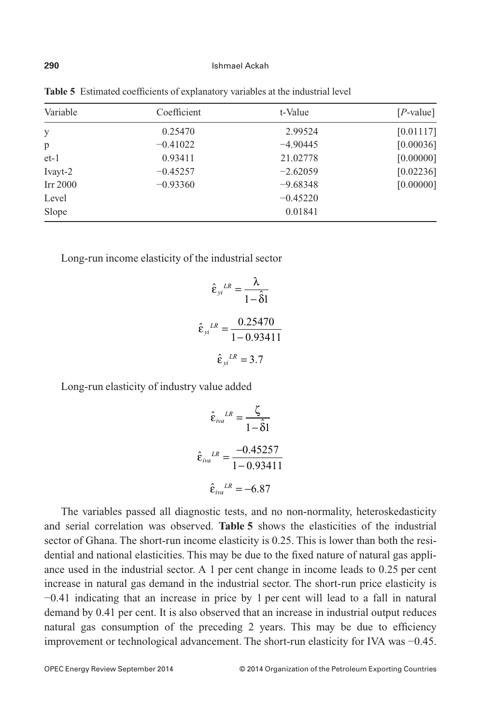| Variable | Coefficient | t-Value    | $[P-value]$ |
|----------|-------------|------------|-------------|
| У        | 0.25470     | 2.99524    | [0.01117]   |
| p        | $-0.41022$  | $-4.90445$ | [0.00036]   |
| $et-1$   | 0.93411     | 21.02778   | [0.00000]   |
| Ivayt-2  | $-0.45257$  | $-2.62059$ | [0.02236]   |
| Irr 2000 | $-0.93360$  | $-9.68348$ | [0.00000]   |
| Level    |             | $-0.45220$ |             |
| Slope    |             | 0.01841    |             |

**Table 5** Estimated coefficients of explanatory variables at the industrial level

Long-run income elasticity of the industrial sector

$$
\hat{\varepsilon}_{yi}^{LR} = \frac{\lambda}{1 - \hat{\delta}1}
$$

$$
\hat{\varepsilon}_{yi}^{LR} = \frac{0.25470}{1 - 0.93411}
$$

$$
\hat{\varepsilon}_{yi}^{LR} = 3.7
$$

Long-run elasticity of industry value added

$$
\hat{\varepsilon}_{i\alpha}^{LR} = \frac{\zeta}{1 - \hat{\delta}1}
$$

$$
\hat{\varepsilon}_{i\alpha}^{LR} = \frac{-0.45257}{1 - 0.93411}
$$

$$
\hat{\varepsilon}_{i\alpha}^{LR} = -6.87
$$

The variables passed all diagnostic tests, and no non-normality, heteroskedasticity and serial correlation was observed. **Table 5** shows the elasticities of the industrial sector of Ghana. The short-run income elasticity is 0.25. This is lower than both the residential and national elasticities. This may be due to the fixed nature of natural gas appliance used in the industrial sector. A 1 per cent change in income leads to 0.25 per cent increase in natural gas demand in the industrial sector. The short-run price elasticity is −0.41 indicating that an increase in price by 1 per cent will lead to a fall in natural demand by 0.41 per cent. It is also observed that an increase in industrial output reduces natural gas consumption of the preceding 2 years. This may be due to efficiency improvement or technological advancement. The short-run elasticity for IVA was −0.45.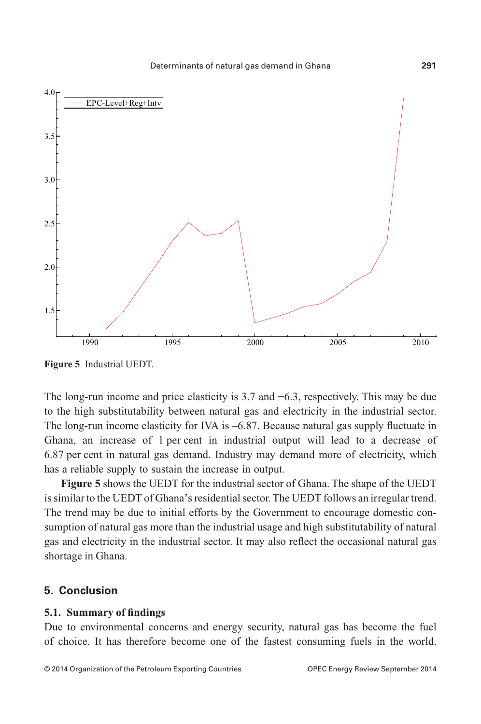

**Figure 5** Industrial UEDT.

The long-run income and price elasticity is 3.7 and −6.3, respectively. This may be due to the high substitutability between natural gas and electricity in the industrial sector. The long-run income elasticity for IVA is –6.87. Because natural gas supply fluctuate in Ghana, an increase of 1 per cent in industrial output will lead to a decrease of 6.87 per cent in natural gas demand. Industry may demand more of electricity, which has a reliable supply to sustain the increase in output.

**Figure 5** shows the UEDT for the industrial sector of Ghana. The shape of the UEDT is similar to the UEDT of Ghana's residential sector.The UEDT follows an irregular trend. The trend may be due to initial efforts by the Government to encourage domestic consumption of natural gas more than the industrial usage and high substitutability of natural gas and electricity in the industrial sector. It may also reflect the occasional natural gas shortage in Ghana.

# **5. Conclusion**

#### **5.1. Summary of findings**

Due to environmental concerns and energy security, natural gas has become the fuel of choice. It has therefore become one of the fastest consuming fuels in the world.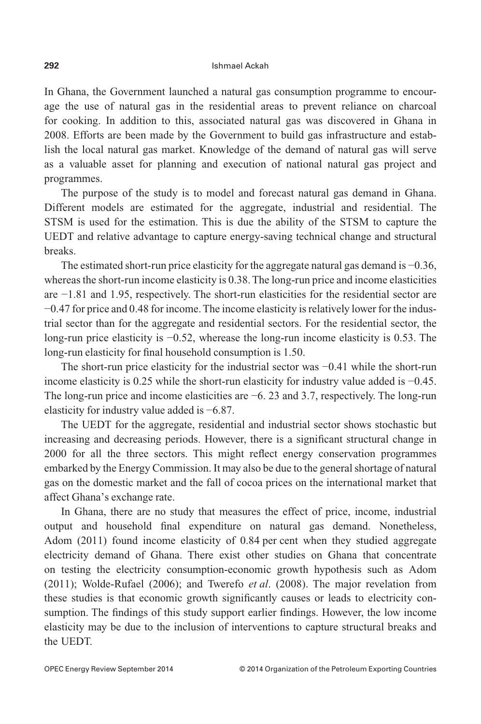In Ghana, the Government launched a natural gas consumption programme to encourage the use of natural gas in the residential areas to prevent reliance on charcoal for cooking. In addition to this, associated natural gas was discovered in Ghana in 2008. Efforts are been made by the Government to build gas infrastructure and establish the local natural gas market. Knowledge of the demand of natural gas will serve as a valuable asset for planning and execution of national natural gas project and programmes.

The purpose of the study is to model and forecast natural gas demand in Ghana. Different models are estimated for the aggregate, industrial and residential. The STSM is used for the estimation. This is due the ability of the STSM to capture the UEDT and relative advantage to capture energy-saving technical change and structural breaks.

The estimated short-run price elasticity for the aggregate natural gas demand is −0.36, whereas the short-run income elasticity is 0.38. The long-run price and income elasticities are −1.81 and 1.95, respectively. The short-run elasticities for the residential sector are −0.47 for price and 0.48 for income. The income elasticity is relatively lower for the industrial sector than for the aggregate and residential sectors. For the residential sector, the long-run price elasticity is −0.52, wherease the long-run income elasticity is 0.53. The long-run elasticity for final household consumption is 1.50.

The short-run price elasticity for the industrial sector was −0.41 while the short-run income elasticity is 0.25 while the short-run elasticity for industry value added is −0.45. The long-run price and income elasticities are −6. 23 and 3.7, respectively. The long-run elasticity for industry value added is −6.87.

The UEDT for the aggregate, residential and industrial sector shows stochastic but increasing and decreasing periods. However, there is a significant structural change in 2000 for all the three sectors. This might reflect energy conservation programmes embarked by the Energy Commission. It may also be due to the general shortage of natural gas on the domestic market and the fall of cocoa prices on the international market that affect Ghana's exchange rate.

In Ghana, there are no study that measures the effect of price, income, industrial output and household final expenditure on natural gas demand. Nonetheless, Adom (2011) found income elasticity of 0.84 per cent when they studied aggregate electricity demand of Ghana. There exist other studies on Ghana that concentrate on testing the electricity consumption-economic growth hypothesis such as Adom (2011); Wolde-Rufael (2006); and Twerefo *et al*. (2008). The major revelation from these studies is that economic growth significantly causes or leads to electricity consumption. The findings of this study support earlier findings. However, the low income elasticity may be due to the inclusion of interventions to capture structural breaks and the UEDT.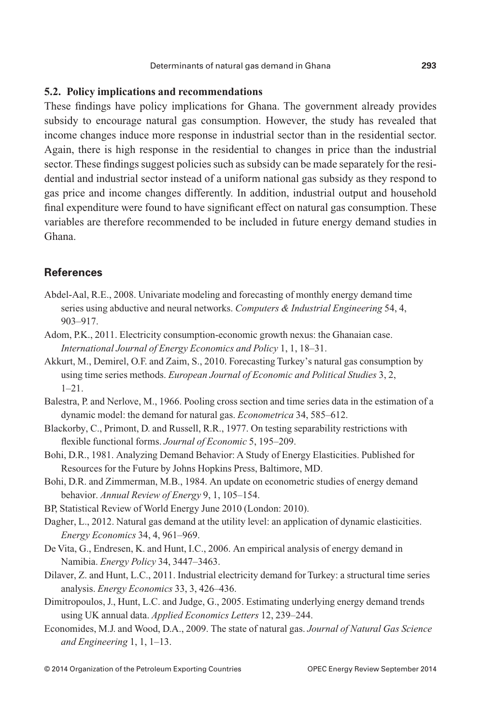# **5.2. Policy implications and recommendations**

These findings have policy implications for Ghana. The government already provides subsidy to encourage natural gas consumption. However, the study has revealed that income changes induce more response in industrial sector than in the residential sector. Again, there is high response in the residential to changes in price than the industrial sector. These findings suggest policies such as subsidy can be made separately for the residential and industrial sector instead of a uniform national gas subsidy as they respond to gas price and income changes differently. In addition, industrial output and household final expenditure were found to have significant effect on natural gas consumption. These variables are therefore recommended to be included in future energy demand studies in Ghana.

# **References**

- Abdel-Aal, R.E., 2008. Univariate modeling and forecasting of monthly energy demand time series using abductive and neural networks. *Computers & Industrial Engineering* 54, 4, 903–917.
- Adom, P.K., 2011. Electricity consumption-economic growth nexus: the Ghanaian case. *International Journal of Energy Economics and Policy* 1, 1, 18–31.
- Akkurt, M., Demirel, O.F. and Zaim, S., 2010. Forecasting Turkey's natural gas consumption by using time series methods. *European Journal of Economic and Political Studies* 3, 2, 1–21.
- Balestra, P. and Nerlove, M., 1966. Pooling cross section and time series data in the estimation of a dynamic model: the demand for natural gas. *Econometrica* 34, 585–612.
- Blackorby, C., Primont, D. and Russell, R.R., 1977. On testing separability restrictions with flexible functional forms. *Journal of Economic* 5, 195–209.
- Bohi, D.R., 1981. Analyzing Demand Behavior: A Study of Energy Elasticities. Published for Resources for the Future by Johns Hopkins Press, Baltimore, MD.
- Bohi, D.R. and Zimmerman, M.B., 1984. An update on econometric studies of energy demand behavior. *Annual Review of Energy* 9, 1, 105–154.
- BP, Statistical Review of World Energy June 2010 (London: 2010).
- Dagher, L., 2012. Natural gas demand at the utility level: an application of dynamic elasticities. *Energy Economics* 34, 4, 961–969.
- De Vita, G., Endresen, K. and Hunt, I.C., 2006. An empirical analysis of energy demand in Namibia. *Energy Policy* 34, 3447–3463.
- Dilaver, Z. and Hunt, L.C., 2011. Industrial electricity demand for Turkey: a structural time series analysis. *Energy Economics* 33, 3, 426–436.
- Dimitropoulos, J., Hunt, L.C. and Judge, G., 2005. Estimating underlying energy demand trends using UK annual data. *Applied Economics Letters* 12, 239–244.
- Economides, M.J. and Wood, D.A., 2009. The state of natural gas. *Journal of Natural Gas Science and Engineering* 1, 1, 1–13.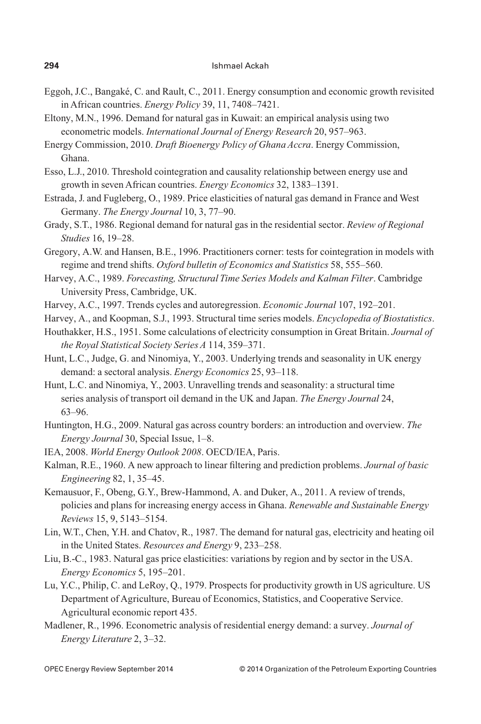- Eggoh, J.C., Bangaké, C. and Rault, C., 2011. Energy consumption and economic growth revisited in African countries. *Energy Policy* 39, 11, 7408–7421.
- Eltony, M.N., 1996. Demand for natural gas in Kuwait: an empirical analysis using two econometric models. *International Journal of Energy Research* 20, 957–963.
- Energy Commission, 2010. *Draft Bioenergy Policy of Ghana Accra*. Energy Commission, Ghana.
- Esso, L.J., 2010. Threshold cointegration and causality relationship between energy use and growth in seven African countries. *Energy Economics* 32, 1383–1391.
- Estrada, J. and Fugleberg, O., 1989. Price elasticities of natural gas demand in France and West Germany. *The Energy Journal* 10, 3, 77–90.
- Grady, S.T., 1986. Regional demand for natural gas in the residential sector. *Review of Regional Studies* 16, 19–28.
- Gregory, A.W. and Hansen, B.E., 1996. Practitioners corner: tests for cointegration in models with regime and trend shifts. *Oxford bulletin of Economics and Statistics* 58, 555–560.
- Harvey, A.C., 1989. *Forecasting, Structural Time Series Models and Kalman Filter*. Cambridge University Press, Cambridge, UK.
- Harvey, A.C., 1997. Trends cycles and autoregression. *Economic Journal* 107, 192–201.
- Harvey, A., and Koopman, S.J., 1993. Structural time series models. *Encyclopedia of Biostatistics*.
- Houthakker, H.S., 1951. Some calculations of electricity consumption in Great Britain. *Journal of the Royal Statistical Society Series A* 114, 359–371.
- Hunt, L.C., Judge, G. and Ninomiya, Y., 2003. Underlying trends and seasonality in UK energy demand: a sectoral analysis. *Energy Economics* 25, 93–118.
- Hunt, L.C. and Ninomiya, Y., 2003. Unravelling trends and seasonality: a structural time series analysis of transport oil demand in the UK and Japan. *The Energy Journal* 24, 63–96.
- Huntington, H.G., 2009. Natural gas across country borders: an introduction and overview. *The Energy Journal* 30, Special Issue, 1–8.
- IEA, 2008. *World Energy Outlook 2008*. OECD/IEA, Paris.
- Kalman, R.E., 1960. A new approach to linear filtering and prediction problems. *Journal of basic Engineering* 82, 1, 35–45.
- Kemausuor, F., Obeng, G.Y., Brew-Hammond, A. and Duker, A., 2011. A review of trends, policies and plans for increasing energy access in Ghana. *Renewable and Sustainable Energy Reviews* 15, 9, 5143–5154.
- Lin, W.T., Chen, Y.H. and Chatov, R., 1987. The demand for natural gas, electricity and heating oil in the United States. *Resources and Energy* 9, 233–258.
- Liu, B.-C., 1983. Natural gas price elasticities: variations by region and by sector in the USA. *Energy Economics* 5, 195–201.
- Lu, Y.C., Philip, C. and LeRoy, Q., 1979. Prospects for productivity growth in US agriculture. US Department of Agriculture, Bureau of Economics, Statistics, and Cooperative Service. Agricultural economic report 435.
- Madlener, R., 1996. Econometric analysis of residential energy demand: a survey. *Journal of Energy Literature* 2, 3–32.